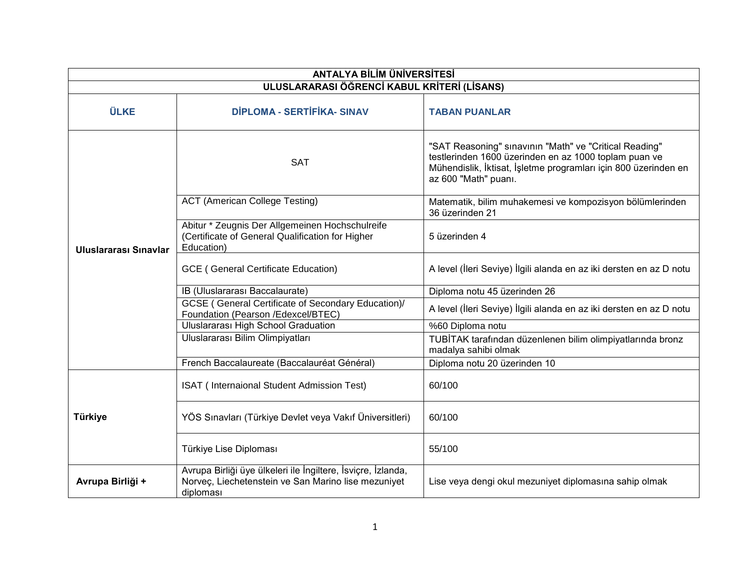| <b>ANTALYA BİLİM ÜNİVERSİTESİ</b>           |                                                                                                                                  |                                                                                                                                                                                                            |  |
|---------------------------------------------|----------------------------------------------------------------------------------------------------------------------------------|------------------------------------------------------------------------------------------------------------------------------------------------------------------------------------------------------------|--|
| ULUSLARARASI ÖĞRENCİ KABUL KRİTERİ (LİSANS) |                                                                                                                                  |                                                                                                                                                                                                            |  |
| <b>ÜLKE</b>                                 | <b>DİPLOMA - SERTİFİKA- SINAV</b>                                                                                                | <b>TABAN PUANLAR</b>                                                                                                                                                                                       |  |
| Uluslararası Sınavlar                       | <b>SAT</b>                                                                                                                       | "SAT Reasoning" sinavinin "Math" ve "Critical Reading"<br>testlerinden 1600 üzerinden en az 1000 toplam puan ve<br>Mühendislik, İktisat, İşletme programları için 800 üzerinden en<br>az 600 "Math" puanı. |  |
|                                             | <b>ACT (American College Testing)</b>                                                                                            | Matematik, bilim muhakemesi ve kompozisyon bölümlerinden<br>36 üzerinden 21                                                                                                                                |  |
|                                             | Abitur * Zeugnis Der Allgemeinen Hochschulreife<br>(Certificate of General Qualification for Higher<br>Education)                | 5 üzerinden 4                                                                                                                                                                                              |  |
|                                             | <b>GCE</b> ( General Certificate Education)                                                                                      | A level (İleri Seviye) İlgili alanda en az iki dersten en az D notu                                                                                                                                        |  |
|                                             | IB (Uluslararası Baccalaurate)                                                                                                   | Diploma notu 45 üzerinden 26                                                                                                                                                                               |  |
|                                             | <b>GCSE</b> ( General Certificate of Secondary Education)/<br>Foundation (Pearson /Edexcel/BTEC)                                 | A level (İleri Seviye) İlgili alanda en az iki dersten en az D notu                                                                                                                                        |  |
|                                             | <b>Uluslararası High School Graduation</b>                                                                                       | %60 Diploma notu                                                                                                                                                                                           |  |
|                                             | Uluslararası Bilim Olimpiyatları                                                                                                 | TUBİTAK tarafından düzenlenen bilim olimpiyatlarında bronz<br>madalya sahibi olmak                                                                                                                         |  |
|                                             | French Baccalaureate (Baccalauréat Général)                                                                                      | Diploma notu 20 üzerinden 10                                                                                                                                                                               |  |
| Türkiye                                     | ISAT (Internaional Student Admission Test)                                                                                       | 60/100                                                                                                                                                                                                     |  |
|                                             | YÖS Sınavları (Türkiye Devlet veya Vakıf Üniversitleri)                                                                          | 60/100                                                                                                                                                                                                     |  |
|                                             | Türkiye Lise Diploması                                                                                                           | 55/100                                                                                                                                                                                                     |  |
| Avrupa Birliği +                            | Avrupa Birliği üye ülkeleri ile İngiltere, İsviçre, İzlanda,<br>Norveç, Liechetenstein ve San Marino lise mezuniyet<br>diploması | Lise veya dengi okul mezuniyet diplomasına sahip olmak                                                                                                                                                     |  |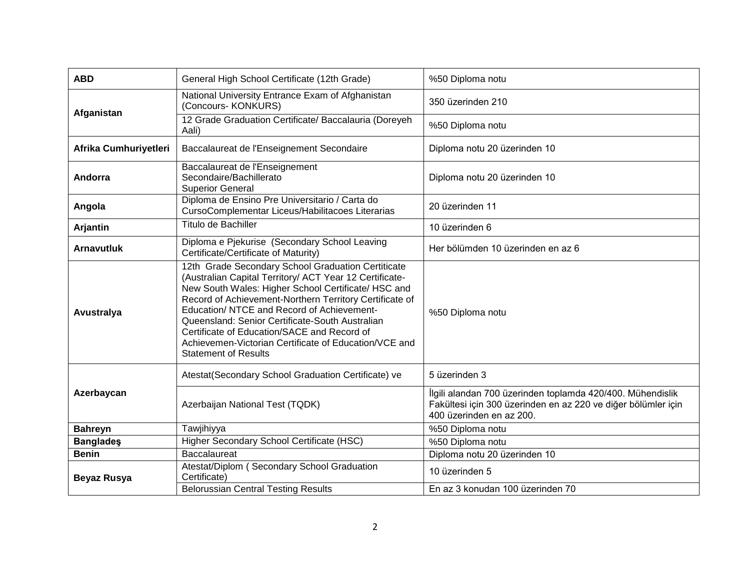| <b>ABD</b>            | General High School Certificate (12th Grade)                                                                                                                                                                                                                                                                                                                                                                                                                            | %50 Diploma notu                                                                                                                                        |
|-----------------------|-------------------------------------------------------------------------------------------------------------------------------------------------------------------------------------------------------------------------------------------------------------------------------------------------------------------------------------------------------------------------------------------------------------------------------------------------------------------------|---------------------------------------------------------------------------------------------------------------------------------------------------------|
| Afganistan            | National University Entrance Exam of Afghanistan<br>(Concours- KONKURS)                                                                                                                                                                                                                                                                                                                                                                                                 | 350 üzerinden 210                                                                                                                                       |
|                       | 12 Grade Graduation Certificate/ Baccalauria (Doreyeh<br>Aali)                                                                                                                                                                                                                                                                                                                                                                                                          | %50 Diploma notu                                                                                                                                        |
| Afrika Cumhuriyetleri | Baccalaureat de l'Enseignement Secondaire                                                                                                                                                                                                                                                                                                                                                                                                                               | Diploma notu 20 üzerinden 10                                                                                                                            |
| Andorra               | Baccalaureat de l'Enseignement<br>Secondaire/Bachillerato<br><b>Superior General</b>                                                                                                                                                                                                                                                                                                                                                                                    | Diploma notu 20 üzerinden 10                                                                                                                            |
| Angola                | Diploma de Ensino Pre Universitario / Carta do<br>CursoComplementar Liceus/Habilitacoes Literarias                                                                                                                                                                                                                                                                                                                                                                      | 20 üzerinden 11                                                                                                                                         |
| Arjantin              | Titulo de Bachiller                                                                                                                                                                                                                                                                                                                                                                                                                                                     | 10 üzerinden 6                                                                                                                                          |
| <b>Arnavutluk</b>     | Diploma e Pjekurise (Secondary School Leaving<br>Certificate/Certificate of Maturity)                                                                                                                                                                                                                                                                                                                                                                                   | Her bölümden 10 üzerinden en az 6                                                                                                                       |
| Avustralya            | 12th Grade Secondary School Graduation Certiticate<br>(Australian Capital Territory/ ACT Year 12 Certificate-<br>New South Wales: Higher School Certificate/ HSC and<br>Record of Achievement-Northern Territory Certificate of<br>Education/ NTCE and Record of Achievement-<br>Queensland: Senior Certificate-South Australian<br>Certificate of Education/SACE and Record of<br>Achievemen-Victorian Certificate of Education/VCE and<br><b>Statement of Results</b> | %50 Diploma notu                                                                                                                                        |
| Azerbaycan            | Atestat(Secondary School Graduation Certificate) ve                                                                                                                                                                                                                                                                                                                                                                                                                     | 5 üzerinden 3                                                                                                                                           |
|                       | Azerbaijan National Test (TQDK)                                                                                                                                                                                                                                                                                                                                                                                                                                         | İlgili alandan 700 üzerinden toplamda 420/400. Mühendislik<br>Fakültesi için 300 üzerinden en az 220 ve diğer bölümler için<br>400 üzerinden en az 200. |
| <b>Bahreyn</b>        | Tawjihiyya                                                                                                                                                                                                                                                                                                                                                                                                                                                              | %50 Diploma notu                                                                                                                                        |
| <b>Banglades</b>      | Higher Secondary School Certificate (HSC)                                                                                                                                                                                                                                                                                                                                                                                                                               | %50 Diploma notu                                                                                                                                        |
| <b>Benin</b>          | <b>Baccalaureat</b>                                                                                                                                                                                                                                                                                                                                                                                                                                                     | Diploma notu 20 üzerinden 10                                                                                                                            |
| <b>Beyaz Rusya</b>    | Atestat/Diplom (Secondary School Graduation<br>Certificate)                                                                                                                                                                                                                                                                                                                                                                                                             | 10 üzerinden 5                                                                                                                                          |
|                       | <b>Belorussian Central Testing Results</b>                                                                                                                                                                                                                                                                                                                                                                                                                              | En az 3 konudan 100 üzerinden 70                                                                                                                        |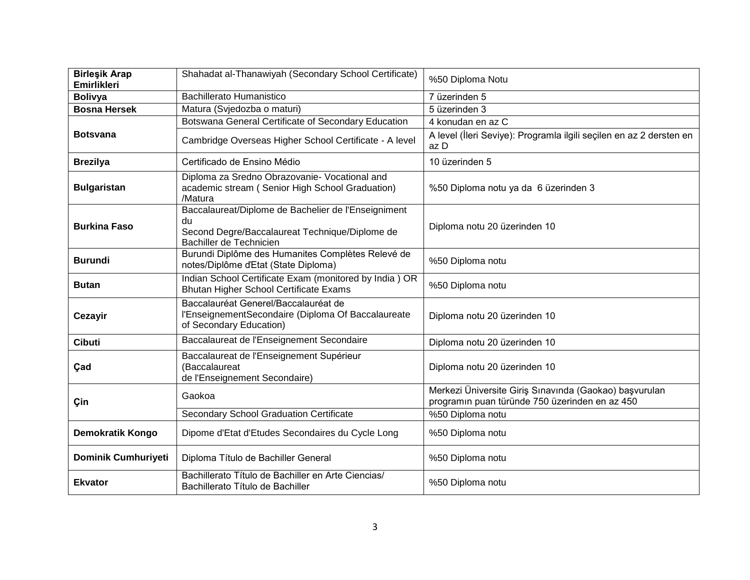| <b>Birleşik Arap</b><br><b>Emirlikleri</b> | Shahadat al-Thanawiyah (Secondary School Certificate)                                                                                  | %50 Diploma Notu                                                                                         |
|--------------------------------------------|----------------------------------------------------------------------------------------------------------------------------------------|----------------------------------------------------------------------------------------------------------|
| <b>Bolivya</b>                             | <b>Bachillerato Humanistico</b>                                                                                                        | 7 üzerinden 5                                                                                            |
| <b>Bosna Hersek</b>                        | Matura (Svjedozba o maturi)                                                                                                            | 5 üzerinden 3                                                                                            |
|                                            | Botswana General Certificate of Secondary Education                                                                                    | 4 konudan en az C                                                                                        |
| <b>Botsvana</b>                            | Cambridge Overseas Higher School Certificate - A level                                                                                 | A level (İleri Seviye): Programla ilgili seçilen en az 2 dersten en<br>az D                              |
| <b>Brezilya</b>                            | Certificado de Ensino Médio                                                                                                            | 10 üzerinden 5                                                                                           |
| <b>Bulgaristan</b>                         | Diploma za Sredno Obrazovanie- Vocational and<br>academic stream (Senior High School Graduation)<br>/Matura                            | %50 Diploma notu ya da 6 üzerinden 3                                                                     |
| <b>Burkina Faso</b>                        | Baccalaureat/Diplome de Bachelier de l'Enseigniment<br>du<br>Second Degre/Baccalaureat Technique/Diplome de<br>Bachiller de Technicien | Diploma notu 20 üzerinden 10                                                                             |
| <b>Burundi</b>                             | Burundi Diplôme des Humanites Complètes Relevé de<br>notes/Diplôme d'Etat (State Diploma)                                              | %50 Diploma notu                                                                                         |
| <b>Butan</b>                               | Indian School Certificate Exam (monitored by India) OR<br>Bhutan Higher School Certificate Exams                                       | %50 Diploma notu                                                                                         |
| Cezayir                                    | Baccalauréat Generel/Baccalauréat de<br>l'EnseignementSecondaire (Diploma Of Baccalaureate<br>of Secondary Education)                  | Diploma notu 20 üzerinden 10                                                                             |
| <b>Cibuti</b>                              | Baccalaureat de l'Enseignement Secondaire                                                                                              | Diploma notu 20 üzerinden 10                                                                             |
| Çad                                        | Baccalaureat de l'Enseignement Supérieur<br>(Baccalaureat<br>de l'Enseignement Secondaire)                                             | Diploma notu 20 üzerinden 10                                                                             |
| Çin                                        | Gaokoa                                                                                                                                 | Merkezi Üniversite Giriş Sınavında (Gaokao) başvurulan<br>programın puan türünde 750 üzerinden en az 450 |
|                                            | Secondary School Graduation Certificate                                                                                                | %50 Diploma notu                                                                                         |
| <b>Demokratik Kongo</b>                    | Dipome d'Etat d'Etudes Secondaires du Cycle Long                                                                                       | %50 Diploma notu                                                                                         |
| Dominik Cumhuriyeti                        | Diploma Título de Bachiller General                                                                                                    | %50 Diploma notu                                                                                         |
| <b>Ekvator</b>                             | Bachillerato Título de Bachiller en Arte Ciencias/<br>Bachillerato Título de Bachiller                                                 | %50 Diploma notu                                                                                         |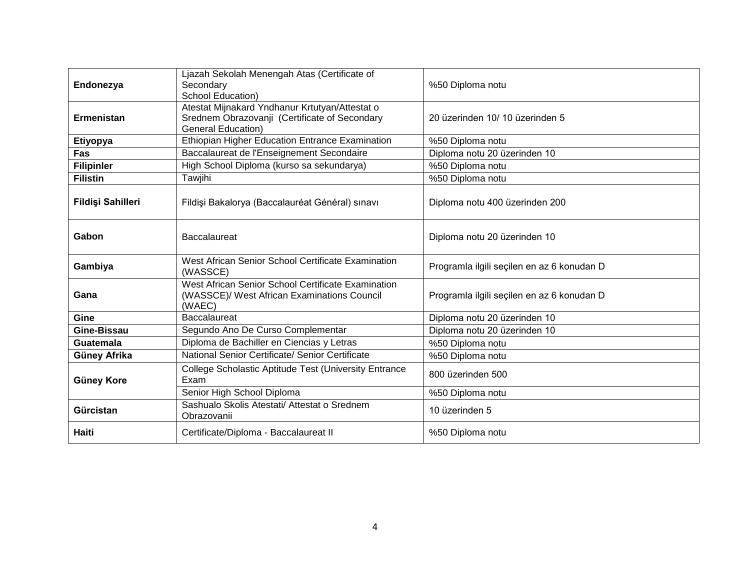| Endonezya         | Ljazah Sekolah Menengah Atas (Certificate of<br>Secondary<br><b>School Education)</b>                                        | %50 Diploma notu                           |
|-------------------|------------------------------------------------------------------------------------------------------------------------------|--------------------------------------------|
| <b>Ermenistan</b> | Atestat Mijnakard Yndhanur Krtutyan/Attestat o<br>Srednem Obrazovanji (Certificate of Secondary<br><b>General Education)</b> | 20 üzerinden 10/10 üzerinden 5             |
| Etiyopya          | Ethiopian Higher Education Entrance Examination                                                                              | %50 Diploma notu                           |
| Fas               | Baccalaureat de l'Enseignement Secondaire                                                                                    | Diploma notu 20 üzerinden 10               |
| <b>Filipinler</b> | High School Diploma (kurso sa sekundarya)                                                                                    | %50 Diploma notu                           |
| <b>Filistin</b>   | Tawjihi                                                                                                                      | %50 Diploma notu                           |
| Fildişi Sahilleri | Fildişi Bakalorya (Baccalauréat Général) sınavı                                                                              | Diploma notu 400 üzerinden 200             |
| Gabon             | <b>Baccalaureat</b>                                                                                                          | Diploma notu 20 üzerinden 10               |
| Gambiya           | West African Senior School Certificate Examination<br>(WASSCE)                                                               | Programla ilgili seçilen en az 6 konudan D |
| Gana              | West African Senior School Certificate Examination<br>(WASSCE)/ West African Examinations Council<br>(WAEC)                  | Programla ilgili seçilen en az 6 konudan D |
| Gine              | <b>Baccalaureat</b>                                                                                                          | Diploma notu 20 üzerinden 10               |
| Gine-Bissau       | Segundo Ano De Curso Complementar                                                                                            | Diploma notu 20 üzerinden 10               |
| <b>Guatemala</b>  | Diploma de Bachiller en Ciencias y Letras                                                                                    | %50 Diploma notu                           |
| Güney Afrika      | National Senior Certificate/ Senior Certificate                                                                              | %50 Diploma notu                           |
| <b>Güney Kore</b> |                                                                                                                              |                                            |
|                   | College Scholastic Aptitude Test (University Entrance<br>Exam                                                                | 800 üzerinden 500                          |
|                   | Senior High School Diploma                                                                                                   | %50 Diploma notu                           |
| Gürcistan         | Sashualo Skolis Atestati/ Attestat o Srednem<br>Obrazovanii                                                                  | 10 üzerinden 5                             |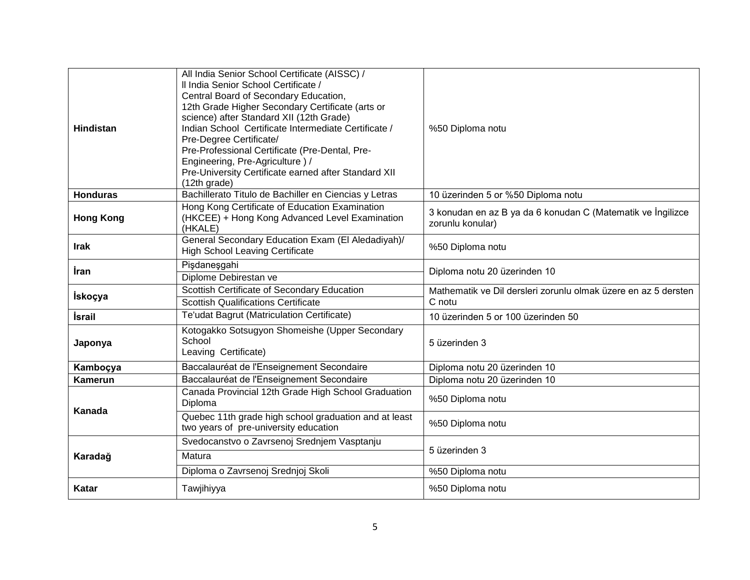| <b>Hindistan</b> | All India Senior School Certificate (AISSC) /<br>Il India Senior School Certificate /<br>Central Board of Secondary Education,<br>12th Grade Higher Secondary Certificate (arts or<br>science) after Standard XII (12th Grade)<br>Indian School Certificate Intermediate Certificate /<br>Pre-Degree Certificate/<br>Pre-Professional Certificate (Pre-Dental, Pre-<br>Engineering, Pre-Agriculture)/<br>Pre-University Certificate earned after Standard XII<br>(12th grade) | %50 Diploma notu                                                                |
|------------------|-------------------------------------------------------------------------------------------------------------------------------------------------------------------------------------------------------------------------------------------------------------------------------------------------------------------------------------------------------------------------------------------------------------------------------------------------------------------------------|---------------------------------------------------------------------------------|
| <b>Honduras</b>  | Bachillerato Titulo de Bachiller en Ciencias y Letras                                                                                                                                                                                                                                                                                                                                                                                                                         | 10 üzerinden 5 or %50 Diploma notu                                              |
| <b>Hong Kong</b> | Hong Kong Certificate of Education Examination<br>(HKCEE) + Hong Kong Advanced Level Examination<br>(HKALE)                                                                                                                                                                                                                                                                                                                                                                   | 3 konudan en az B ya da 6 konudan C (Matematik ve İngilizce<br>zorunlu konular) |
| <b>Irak</b>      | General Secondary Education Exam (El Aledadiyah)/<br><b>High School Leaving Certificate</b>                                                                                                                                                                                                                                                                                                                                                                                   | %50 Diploma notu                                                                |
| İran             | Pişdaneşgahi<br>Diplome Debirestan ve                                                                                                                                                                                                                                                                                                                                                                                                                                         | Diploma notu 20 üzerinden 10                                                    |
| <b>İskoçya</b>   | Scottish Certificate of Secondary Education<br><b>Scottish Qualifications Certificate</b>                                                                                                                                                                                                                                                                                                                                                                                     | Mathematik ve Dil dersleri zorunlu olmak üzere en az 5 dersten<br>C notu        |
| <b>İsrail</b>    | Te'udat Bagrut (Matriculation Certificate)                                                                                                                                                                                                                                                                                                                                                                                                                                    | 10 üzerinden 5 or 100 üzerinden 50                                              |
| Japonya          | Kotogakko Sotsugyon Shomeishe (Upper Secondary<br>School<br>Leaving Certificate)                                                                                                                                                                                                                                                                                                                                                                                              | 5 üzerinden 3                                                                   |
| Kamboçya         | Baccalauréat de l'Enseignement Secondaire                                                                                                                                                                                                                                                                                                                                                                                                                                     | Diploma notu 20 üzerinden 10                                                    |
| <b>Kamerun</b>   | Baccalauréat de l'Enseignement Secondaire                                                                                                                                                                                                                                                                                                                                                                                                                                     | Diploma notu 20 üzerinden 10                                                    |
| Kanada           | Canada Provincial 12th Grade High School Graduation<br>Diploma                                                                                                                                                                                                                                                                                                                                                                                                                | %50 Diploma notu                                                                |
|                  | Quebec 11th grade high school graduation and at least<br>two years of pre-university education                                                                                                                                                                                                                                                                                                                                                                                | %50 Diploma notu                                                                |
| Karadağ          | Svedocanstvo o Zavrsenoj Srednjem Vasptanju                                                                                                                                                                                                                                                                                                                                                                                                                                   | 5 üzerinden 3                                                                   |
|                  | Matura                                                                                                                                                                                                                                                                                                                                                                                                                                                                        |                                                                                 |
|                  | Diploma o Zavrsenoj Srednjoj Skoli                                                                                                                                                                                                                                                                                                                                                                                                                                            | %50 Diploma notu                                                                |
| Katar            | Tawjihiyya                                                                                                                                                                                                                                                                                                                                                                                                                                                                    | %50 Diploma notu                                                                |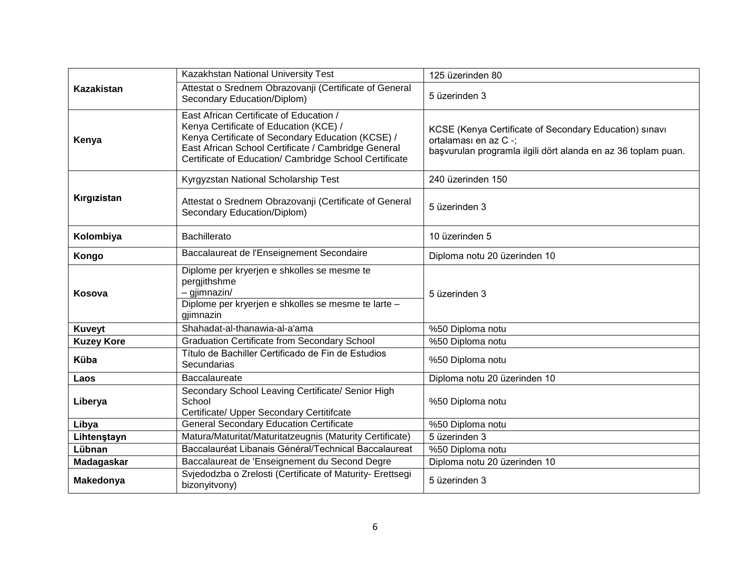| <b>Kazakistan</b> | Kazakhstan National University Test                                                                                                                                                                                                                     | 125 üzerinden 80                                                                                                                                 |
|-------------------|---------------------------------------------------------------------------------------------------------------------------------------------------------------------------------------------------------------------------------------------------------|--------------------------------------------------------------------------------------------------------------------------------------------------|
|                   | Attestat o Srednem Obrazovanji (Certificate of General<br>Secondary Education/Diplom)                                                                                                                                                                   | 5 üzerinden 3                                                                                                                                    |
| Kenya             | East African Certificate of Education /<br>Kenya Certificate of Education (KCE) /<br>Kenya Certificate of Secondary Education (KCSE) /<br>East African School Certificate / Cambridge General<br>Certificate of Education/ Cambridge School Certificate | KCSE (Kenya Certificate of Secondary Education) sinavi<br>ortalaması en az C -;<br>başvurulan programla ilgili dört alanda en az 36 toplam puan. |
| Kırgızistan       | Kyrgyzstan National Scholarship Test                                                                                                                                                                                                                    | 240 üzerinden 150                                                                                                                                |
|                   | Attestat o Srednem Obrazovanji (Certificate of General<br>Secondary Education/Diplom)                                                                                                                                                                   | 5 üzerinden 3                                                                                                                                    |
| Kolombiya         | <b>Bachillerato</b>                                                                                                                                                                                                                                     | 10 üzerinden 5                                                                                                                                   |
| Kongo             | Baccalaureat de l'Enseignement Secondaire                                                                                                                                                                                                               | Diploma notu 20 üzerinden 10                                                                                                                     |
| Kosova            | Diplome per kryerjen e shkolles se mesme te<br>pergjithshme<br>$-$ gjimnazin/<br>Diplome per kryerjen e shkolles se mesme te larte -<br>gjimnazin                                                                                                       | 5 üzerinden 3                                                                                                                                    |
| <b>Kuveyt</b>     | Shahadat-al-thanawia-al-a'ama                                                                                                                                                                                                                           | %50 Diploma notu                                                                                                                                 |
| <b>Kuzey Kore</b> | <b>Graduation Certificate from Secondary School</b>                                                                                                                                                                                                     | %50 Diploma notu                                                                                                                                 |
| <b>Küba</b>       | Título de Bachiller Certificado de Fin de Estudios<br>Secundarias                                                                                                                                                                                       | %50 Diploma notu                                                                                                                                 |
| Laos              | Baccalaureate                                                                                                                                                                                                                                           | Diploma notu 20 üzerinden 10                                                                                                                     |
| Liberya           | Secondary School Leaving Certificate/ Senior High<br>School<br>Certificate/ Upper Secondary Certitifcate                                                                                                                                                | %50 Diploma notu                                                                                                                                 |
| Libya             | <b>General Secondary Education Certificate</b>                                                                                                                                                                                                          | %50 Diploma notu                                                                                                                                 |
| Lihtenstayn       | Matura/Maturitat/Maturitatzeugnis (Maturity Certificate)                                                                                                                                                                                                | 5 üzerinden 3                                                                                                                                    |
| Lübnan            | Baccalauréat Libanais Général/Technical Baccalaureat                                                                                                                                                                                                    | %50 Diploma notu                                                                                                                                 |
| Madagaskar        | Baccalaureat de 'Enseignement du Second Degre                                                                                                                                                                                                           | Diploma notu 20 üzerinden 10                                                                                                                     |
| Makedonya         | Svjedodzba o Zrelosti (Certificate of Maturity- Erettsegi<br>bizonyitvony)                                                                                                                                                                              | 5 üzerinden 3                                                                                                                                    |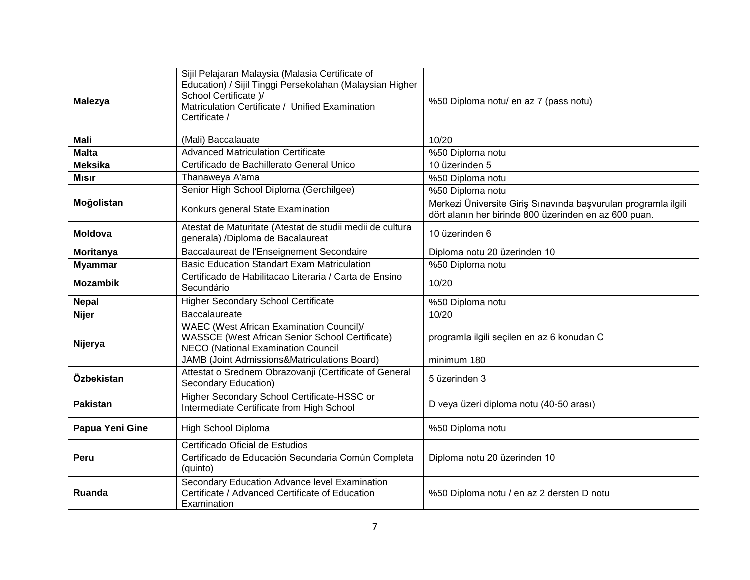| <b>Malezya</b>  | Sijil Pelajaran Malaysia (Malasia Certificate of<br>Education) / Sijil Tinggi Persekolahan (Malaysian Higher<br>School Certificate )/<br>Matriculation Certificate / Unified Examination<br>Certificate / | %50 Diploma notu/ en az 7 (pass notu)                                                                                   |
|-----------------|-----------------------------------------------------------------------------------------------------------------------------------------------------------------------------------------------------------|-------------------------------------------------------------------------------------------------------------------------|
| <b>Mali</b>     | (Mali) Baccalauate                                                                                                                                                                                        | 10/20                                                                                                                   |
| <b>Malta</b>    | <b>Advanced Matriculation Certificate</b>                                                                                                                                                                 | %50 Diploma notu                                                                                                        |
| <b>Meksika</b>  | Certificado de Bachillerato General Unico                                                                                                                                                                 | 10 üzerinden 5                                                                                                          |
| <b>Misir</b>    | Thanaweya A'ama                                                                                                                                                                                           | %50 Diploma notu                                                                                                        |
| Moğolistan      | Senior High School Diploma (Gerchilgee)                                                                                                                                                                   | %50 Diploma notu                                                                                                        |
|                 | Konkurs general State Examination                                                                                                                                                                         | Merkezi Üniversite Giriş Sınavında başvurulan programla ilgili<br>dört alanın her birinde 800 üzerinden en az 600 puan. |
| <b>Moldova</b>  | Atestat de Maturitate (Atestat de studii medii de cultura<br>generala) /Diploma de Bacalaureat                                                                                                            | 10 üzerinden 6                                                                                                          |
| Moritanya       | Baccalaureat de l'Enseignement Secondaire                                                                                                                                                                 | Diploma notu 20 üzerinden 10                                                                                            |
| <b>Myammar</b>  | <b>Basic Education Standart Exam Matriculation</b>                                                                                                                                                        | %50 Diploma notu                                                                                                        |
| <b>Mozambik</b> | Certificado de Habilitacao Literaria / Carta de Ensino<br>Secundário                                                                                                                                      | 10/20                                                                                                                   |
| <b>Nepal</b>    | <b>Higher Secondary School Certificate</b>                                                                                                                                                                | %50 Diploma notu                                                                                                        |
| <b>Nijer</b>    | <b>Baccalaureate</b>                                                                                                                                                                                      | 10/20                                                                                                                   |
| Nijerya         | <b>WAEC (West African Examination Council)/</b><br><b>WASSCE (West African Senior School Certificate)</b><br><b>NECO (National Examination Council</b>                                                    | programla ilgili seçilen en az 6 konudan C                                                                              |
|                 | JAMB (Joint Admissions&Matriculations Board)                                                                                                                                                              | minimum 180                                                                                                             |
| Özbekistan      | Attestat o Srednem Obrazovanji (Certificate of General<br>Secondary Education)                                                                                                                            | 5 üzerinden 3                                                                                                           |
| <b>Pakistan</b> | Higher Secondary School Certificate-HSSC or<br>Intermediate Certificate from High School                                                                                                                  | D veya üzeri diploma notu (40-50 arası)                                                                                 |
| Papua Yeni Gine | High School Diploma                                                                                                                                                                                       | %50 Diploma notu                                                                                                        |
|                 | Certificado Oficial de Estudios                                                                                                                                                                           | Diploma notu 20 üzerinden 10                                                                                            |
| Peru            | Certificado de Educación Secundaria Común Completa<br>(quinto)                                                                                                                                            |                                                                                                                         |
| Ruanda          | Secondary Education Advance level Examination<br>Certificate / Advanced Certificate of Education<br>Examination                                                                                           | %50 Diploma notu / en az 2 dersten D notu                                                                               |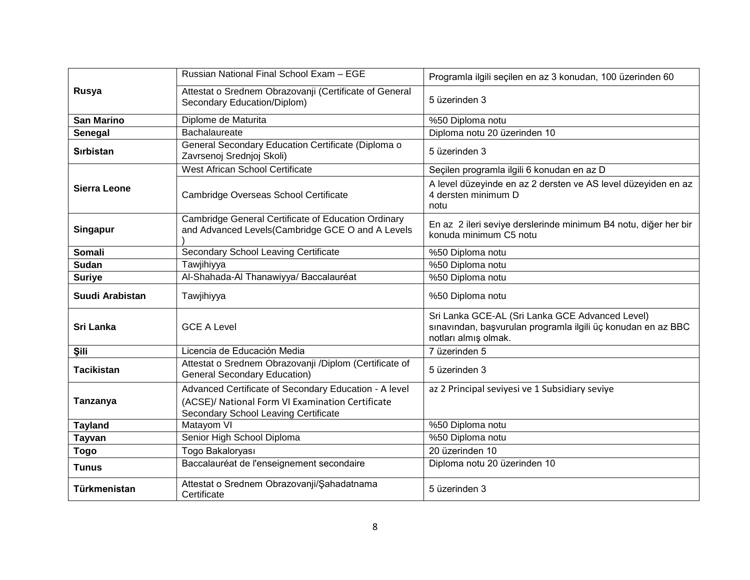|                     | Russian National Final School Exam - EGE                                                                                                          | Programla ilgili seçilen en az 3 konudan, 100 üzerinden 60                                   |
|---------------------|---------------------------------------------------------------------------------------------------------------------------------------------------|----------------------------------------------------------------------------------------------|
| Rusya               | Attestat o Srednem Obrazovanji (Certificate of General<br>Secondary Education/Diplom)                                                             | 5 üzerinden 3                                                                                |
| <b>San Marino</b>   | Diplome de Maturita                                                                                                                               | %50 Diploma notu                                                                             |
| Senegal             | Bachalaureate                                                                                                                                     | Diploma notu 20 üzerinden 10                                                                 |
| <b>Sirbistan</b>    | General Secondary Education Certificate (Diploma o<br>Zavrsenoj Srednjoj Skoli)                                                                   | 5 üzerinden 3                                                                                |
|                     | West African School Certificate                                                                                                                   | Seçilen programla ilgili 6 konudan en az D                                                   |
| <b>Sierra Leone</b> | Cambridge Overseas School Certificate                                                                                                             | A level düzeyinde en az 2 dersten ve AS level düzeyiden en az<br>4 dersten minimum D<br>notu |
| <b>Singapur</b>     | Cambridge General Certificate of Education Ordinary<br>and Advanced Levels (Cambridge GCE O and A Levels                                          | En az 2 ileri seviye derslerinde minimum B4 notu, diğer her bir<br>konuda minimum C5 notu    |
| <b>Somali</b>       | Secondary School Leaving Certificate                                                                                                              | %50 Diploma notu                                                                             |
| Sudan               | Tawjihiyya                                                                                                                                        | %50 Diploma notu                                                                             |
| <b>Suriye</b>       | Al-Shahada-Al Thanawiyya/ Baccalauréat                                                                                                            | %50 Diploma notu                                                                             |
| Suudi Arabistan     | Tawjihiyya                                                                                                                                        | %50 Diploma notu                                                                             |
| <b>Sri Lanka</b>    | <b>GCE A Level</b>                                                                                                                                | Sri Lanka GCE-AL (Sri Lanka GCE Advanced Level)                                              |
|                     |                                                                                                                                                   | sınavından, başvurulan programla ilgili üç konudan en az BBC<br>notları almış olmak.         |
| Şili                | Licencia de Educación Media                                                                                                                       | 7 üzerinden 5                                                                                |
| <b>Tacikistan</b>   | Attestat o Srednem Obrazovanji /Diplom (Certificate of<br><b>General Secondary Education)</b>                                                     | 5 üzerinden 3                                                                                |
| Tanzanya            | Advanced Certificate of Secondary Education - A level<br>(ACSE)/ National Form VI Examination Certificate<br>Secondary School Leaving Certificate | az 2 Principal seviyesi ve 1 Subsidiary seviye                                               |
| <b>Tayland</b>      | Matayom VI                                                                                                                                        | %50 Diploma notu                                                                             |
| <b>Tayvan</b>       | Senior High School Diploma                                                                                                                        | %50 Diploma notu                                                                             |
| <b>Togo</b>         | Togo Bakaloryası                                                                                                                                  | 20 üzerinden 10                                                                              |
| <b>Tunus</b>        | Baccalauréat de l'enseignement secondaire<br>Attestat o Srednem Obrazovanji/Şahadatnama                                                           | Diploma notu 20 üzerinden 10                                                                 |